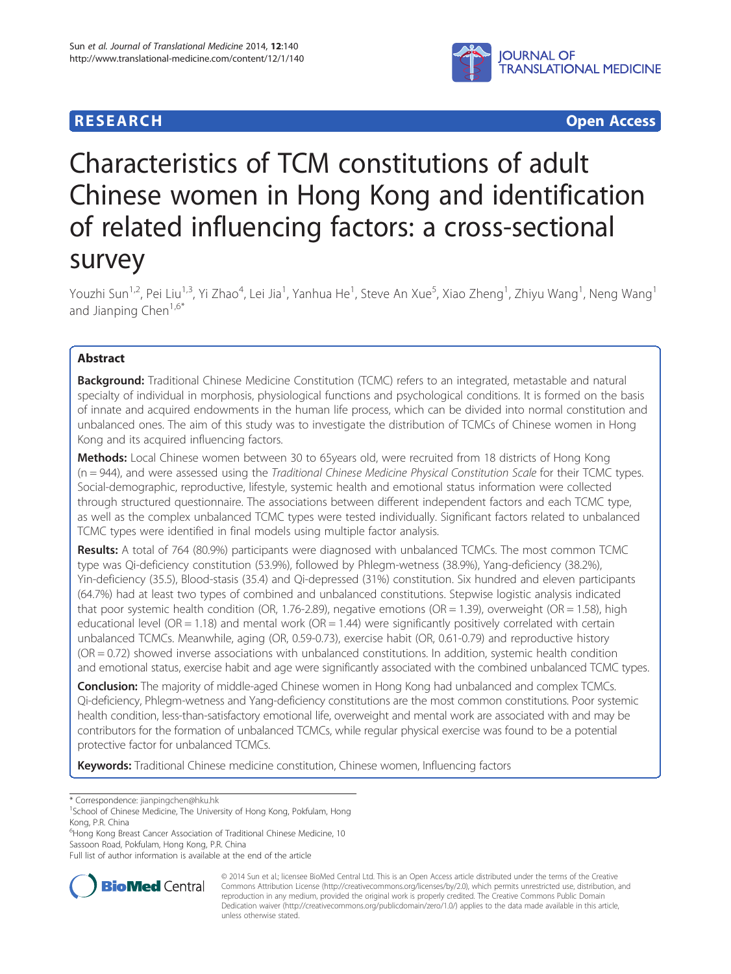

**RESEARCH RESEARCH** *CHECKER CHECKER CHECKER CHECKER CHECKER CHECKER CHECKER CHECKER CHECKER CHECKER CHECKER* 

# Characteristics of TCM constitutions of adult Chinese women in Hong Kong and identification of related influencing factors: a cross-sectional survey

Youzhi Sun<sup>1,2</sup>, Pei Liu<sup>1,3</sup>, Yi Zhao<sup>4</sup>, Lei Jia<sup>1</sup>, Yanhua He<sup>1</sup>, Steve An Xue<sup>5</sup>, Xiao Zheng<sup>1</sup>, Zhiyu Wang<sup>1</sup>, Neng Wang<sup>1</sup> and Jianping Chen<sup>1,6\*</sup>

# Abstract

Background: Traditional Chinese Medicine Constitution (TCMC) refers to an integrated, metastable and natural specialty of individual in morphosis, physiological functions and psychological conditions. It is formed on the basis of innate and acquired endowments in the human life process, which can be divided into normal constitution and unbalanced ones. The aim of this study was to investigate the distribution of TCMCs of Chinese women in Hong Kong and its acquired influencing factors.

Methods: Local Chinese women between 30 to 65years old, were recruited from 18 districts of Hong Kong  $(n = 944)$ , and were assessed using the Traditional Chinese Medicine Physical Constitution Scale for their TCMC types. Social-demographic, reproductive, lifestyle, systemic health and emotional status information were collected through structured questionnaire. The associations between different independent factors and each TCMC type, as well as the complex unbalanced TCMC types were tested individually. Significant factors related to unbalanced TCMC types were identified in final models using multiple factor analysis.

Results: A total of 764 (80.9%) participants were diagnosed with unbalanced TCMCs. The most common TCMC type was Qi-deficiency constitution (53.9%), followed by Phlegm-wetness (38.9%), Yang-deficiency (38.2%), Yin-deficiency (35.5), Blood-stasis (35.4) and Qi-depressed (31%) constitution. Six hundred and eleven participants (64.7%) had at least two types of combined and unbalanced constitutions. Stepwise logistic analysis indicated that poor systemic health condition (OR, 1.76-2.89), negative emotions (OR = 1.39), overweight (OR = 1.58), high educational level ( $OR = 1.18$ ) and mental work ( $OR = 1.44$ ) were significantly positively correlated with certain unbalanced TCMCs. Meanwhile, aging (OR, 0.59-0.73), exercise habit (OR, 0.61-0.79) and reproductive history (OR = 0.72) showed inverse associations with unbalanced constitutions. In addition, systemic health condition and emotional status, exercise habit and age were significantly associated with the combined unbalanced TCMC types.

**Conclusion:** The majority of middle-aged Chinese women in Hong Kong had unbalanced and complex TCMCs. Qi-deficiency, Phlegm-wetness and Yang-deficiency constitutions are the most common constitutions. Poor systemic health condition, less-than-satisfactory emotional life, overweight and mental work are associated with and may be contributors for the formation of unbalanced TCMCs, while regular physical exercise was found to be a potential protective factor for unbalanced TCMCs.

Keywords: Traditional Chinese medicine constitution, Chinese women, Influencing factors

6 Hong Kong Breast Cancer Association of Traditional Chinese Medicine, 10 Sassoon Road, Pokfulam, Hong Kong, P.R. China

Full list of author information is available at the end of the article



© 2014 Sun et al.; licensee BioMed Central Ltd. This is an Open Access article distributed under the terms of the Creative Commons Attribution License [\(http://creativecommons.org/licenses/by/2.0\)](http://creativecommons.org/licenses/by/2.0), which permits unrestricted use, distribution, and reproduction in any medium, provided the original work is properly credited. The Creative Commons Public Domain Dedication waiver [\(http://creativecommons.org/publicdomain/zero/1.0/](http://creativecommons.org/publicdomain/zero/1.0/)) applies to the data made available in this article, unless otherwise stated.

<sup>\*</sup> Correspondence: [jianpingchen@hku.hk](mailto:jianpingchen@hku.hk) <sup>1</sup>

<sup>&</sup>lt;sup>1</sup>School of Chinese Medicine, The University of Hong Kong, Pokfulam, Hong Kong, P.R. China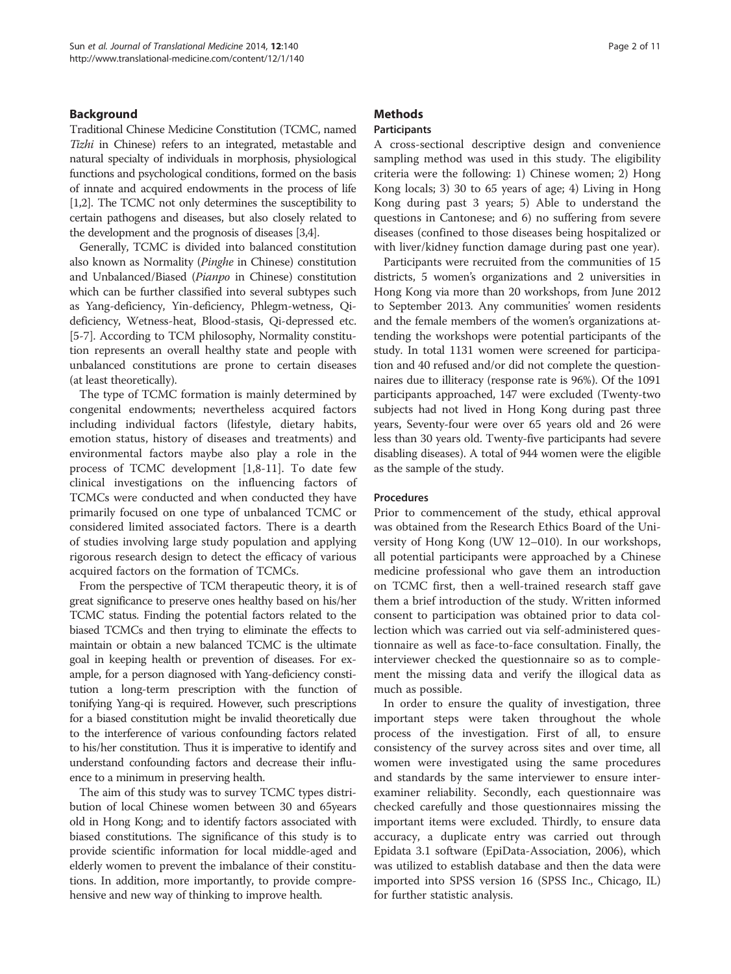# Background

Traditional Chinese Medicine Constitution (TCMC, named Tizhi in Chinese) refers to an integrated, metastable and natural specialty of individuals in morphosis, physiological functions and psychological conditions, formed on the basis of innate and acquired endowments in the process of life [[1,2](#page-9-0)]. The TCMC not only determines the susceptibility to certain pathogens and diseases, but also closely related to the development and the prognosis of diseases [\[3,4](#page-9-0)].

Generally, TCMC is divided into balanced constitution also known as Normality (Pinghe in Chinese) constitution and Unbalanced/Biased (Pianpo in Chinese) constitution which can be further classified into several subtypes such as Yang-deficiency, Yin-deficiency, Phlegm-wetness, Qideficiency, Wetness-heat, Blood-stasis, Qi-depressed etc. [[5-7\]](#page-9-0). According to TCM philosophy, Normality constitution represents an overall healthy state and people with unbalanced constitutions are prone to certain diseases (at least theoretically).

The type of TCMC formation is mainly determined by congenital endowments; nevertheless acquired factors including individual factors (lifestyle, dietary habits, emotion status, history of diseases and treatments) and environmental factors maybe also play a role in the process of TCMC development [[1,8-11](#page-9-0)]. To date few clinical investigations on the influencing factors of TCMCs were conducted and when conducted they have primarily focused on one type of unbalanced TCMC or considered limited associated factors. There is a dearth of studies involving large study population and applying rigorous research design to detect the efficacy of various acquired factors on the formation of TCMCs.

From the perspective of TCM therapeutic theory, it is of great significance to preserve ones healthy based on his/her TCMC status. Finding the potential factors related to the biased TCMCs and then trying to eliminate the effects to maintain or obtain a new balanced TCMC is the ultimate goal in keeping health or prevention of diseases. For example, for a person diagnosed with Yang-deficiency constitution a long-term prescription with the function of tonifying Yang-qi is required. However, such prescriptions for a biased constitution might be invalid theoretically due to the interference of various confounding factors related to his/her constitution. Thus it is imperative to identify and understand confounding factors and decrease their influence to a minimum in preserving health.

The aim of this study was to survey TCMC types distribution of local Chinese women between 30 and 65years old in Hong Kong; and to identify factors associated with biased constitutions. The significance of this study is to provide scientific information for local middle-aged and elderly women to prevent the imbalance of their constitutions. In addition, more importantly, to provide comprehensive and new way of thinking to improve health.

# **Methods**

# Participants

A cross-sectional descriptive design and convenience sampling method was used in this study. The eligibility criteria were the following: 1) Chinese women; 2) Hong Kong locals; 3) 30 to 65 years of age; 4) Living in Hong Kong during past 3 years; 5) Able to understand the questions in Cantonese; and 6) no suffering from severe diseases (confined to those diseases being hospitalized or with liver/kidney function damage during past one year).

Participants were recruited from the communities of 15 districts, 5 women's organizations and 2 universities in Hong Kong via more than 20 workshops, from June 2012 to September 2013. Any communities' women residents and the female members of the women's organizations attending the workshops were potential participants of the study. In total 1131 women were screened for participation and 40 refused and/or did not complete the questionnaires due to illiteracy (response rate is 96%). Of the 1091 participants approached, 147 were excluded (Twenty-two subjects had not lived in Hong Kong during past three years, Seventy-four were over 65 years old and 26 were less than 30 years old. Twenty-five participants had severe disabling diseases). A total of 944 women were the eligible as the sample of the study.

## Procedures

Prior to commencement of the study, ethical approval was obtained from the Research Ethics Board of the University of Hong Kong (UW 12–010). In our workshops, all potential participants were approached by a Chinese medicine professional who gave them an introduction on TCMC first, then a well-trained research staff gave them a brief introduction of the study. Written informed consent to participation was obtained prior to data collection which was carried out via self-administered questionnaire as well as face-to-face consultation. Finally, the interviewer checked the questionnaire so as to complement the missing data and verify the illogical data as much as possible.

In order to ensure the quality of investigation, three important steps were taken throughout the whole process of the investigation. First of all, to ensure consistency of the survey across sites and over time, all women were investigated using the same procedures and standards by the same interviewer to ensure interexaminer reliability. Secondly, each questionnaire was checked carefully and those questionnaires missing the important items were excluded. Thirdly, to ensure data accuracy, a duplicate entry was carried out through Epidata 3.1 software (EpiData-Association, 2006), which was utilized to establish database and then the data were imported into SPSS version 16 (SPSS Inc., Chicago, IL) for further statistic analysis.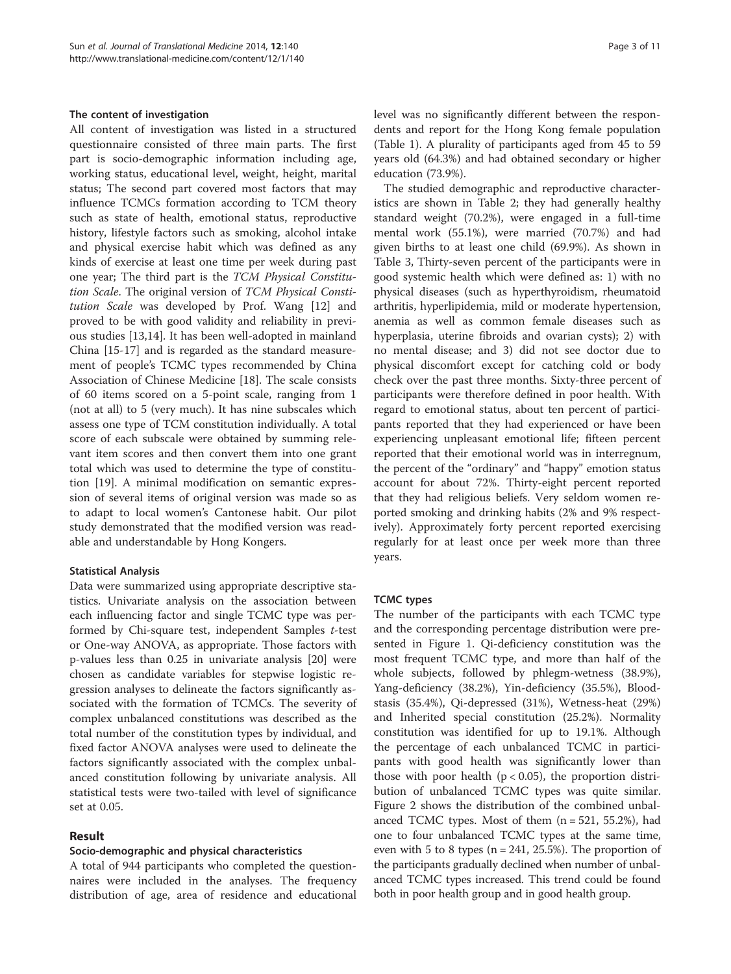#### The content of investigation

All content of investigation was listed in a structured questionnaire consisted of three main parts. The first part is socio-demographic information including age, working status, educational level, weight, height, marital status; The second part covered most factors that may influence TCMCs formation according to TCM theory such as state of health, emotional status, reproductive history, lifestyle factors such as smoking, alcohol intake and physical exercise habit which was defined as any kinds of exercise at least one time per week during past one year; The third part is the TCM Physical Constitution Scale. The original version of TCM Physical Constitution Scale was developed by Prof. Wang [[12](#page-9-0)] and proved to be with good validity and reliability in previous studies [\[13,14\]](#page-9-0). It has been well-adopted in mainland China [[15-17\]](#page-10-0) and is regarded as the standard measurement of people's TCMC types recommended by China Association of Chinese Medicine [\[18\]](#page-10-0). The scale consists of 60 items scored on a 5-point scale, ranging from 1 (not at all) to 5 (very much). It has nine subscales which assess one type of TCM constitution individually. A total score of each subscale were obtained by summing relevant item scores and then convert them into one grant total which was used to determine the type of constitution [\[19](#page-10-0)]. A minimal modification on semantic expression of several items of original version was made so as to adapt to local women's Cantonese habit. Our pilot study demonstrated that the modified version was readable and understandable by Hong Kongers.

#### Statistical Analysis

Data were summarized using appropriate descriptive statistics. Univariate analysis on the association between each influencing factor and single TCMC type was performed by Chi-square test, independent Samples t-test or One-way ANOVA, as appropriate. Those factors with p-values less than 0.25 in univariate analysis [[20\]](#page-10-0) were chosen as candidate variables for stepwise logistic regression analyses to delineate the factors significantly associated with the formation of TCMCs. The severity of complex unbalanced constitutions was described as the total number of the constitution types by individual, and fixed factor ANOVA analyses were used to delineate the factors significantly associated with the complex unbalanced constitution following by univariate analysis. All statistical tests were two-tailed with level of significance set at 0.05.

# Result

#### Socio-demographic and physical characteristics

A total of 944 participants who completed the questionnaires were included in the analyses. The frequency distribution of age, area of residence and educational level was no significantly different between the respondents and report for the Hong Kong female population (Table [1\)](#page-3-0). A plurality of participants aged from 45 to 59 years old (64.3%) and had obtained secondary or higher education (73.9%).

The studied demographic and reproductive characteristics are shown in Table [2;](#page-4-0) they had generally healthy standard weight (70.2%), were engaged in a full-time mental work (55.1%), were married (70.7%) and had given births to at least one child (69.9%). As shown in Table [3](#page-4-0), Thirty-seven percent of the participants were in good systemic health which were defined as: 1) with no physical diseases (such as hyperthyroidism, rheumatoid arthritis, hyperlipidemia, mild or moderate hypertension, anemia as well as common female diseases such as hyperplasia, uterine fibroids and ovarian cysts); 2) with no mental disease; and 3) did not see doctor due to physical discomfort except for catching cold or body check over the past three months. Sixty-three percent of participants were therefore defined in poor health. With regard to emotional status, about ten percent of participants reported that they had experienced or have been experiencing unpleasant emotional life; fifteen percent reported that their emotional world was in interregnum, the percent of the "ordinary" and "happy" emotion status account for about 72%. Thirty-eight percent reported that they had religious beliefs. Very seldom women reported smoking and drinking habits (2% and 9% respectively). Approximately forty percent reported exercising regularly for at least once per week more than three years.

#### TCMC types

The number of the participants with each TCMC type and the corresponding percentage distribution were presented in Figure [1.](#page-5-0) Qi-deficiency constitution was the most frequent TCMC type, and more than half of the whole subjects, followed by phlegm-wetness (38.9%), Yang-deficiency (38.2%), Yin-deficiency (35.5%), Bloodstasis (35.4%), Qi-depressed (31%), Wetness-heat (29%) and Inherited special constitution (25.2%). Normality constitution was identified for up to 19.1%. Although the percentage of each unbalanced TCMC in participants with good health was significantly lower than those with poor health  $(p < 0.05)$ , the proportion distribution of unbalanced TCMC types was quite similar. Figure [2](#page-5-0) shows the distribution of the combined unbalanced TCMC types. Most of them  $(n = 521, 55.2\%)$ , had one to four unbalanced TCMC types at the same time, even with 5 to 8 types  $(n = 241, 25.5\%)$ . The proportion of the participants gradually declined when number of unbalanced TCMC types increased. This trend could be found both in poor health group and in good health group.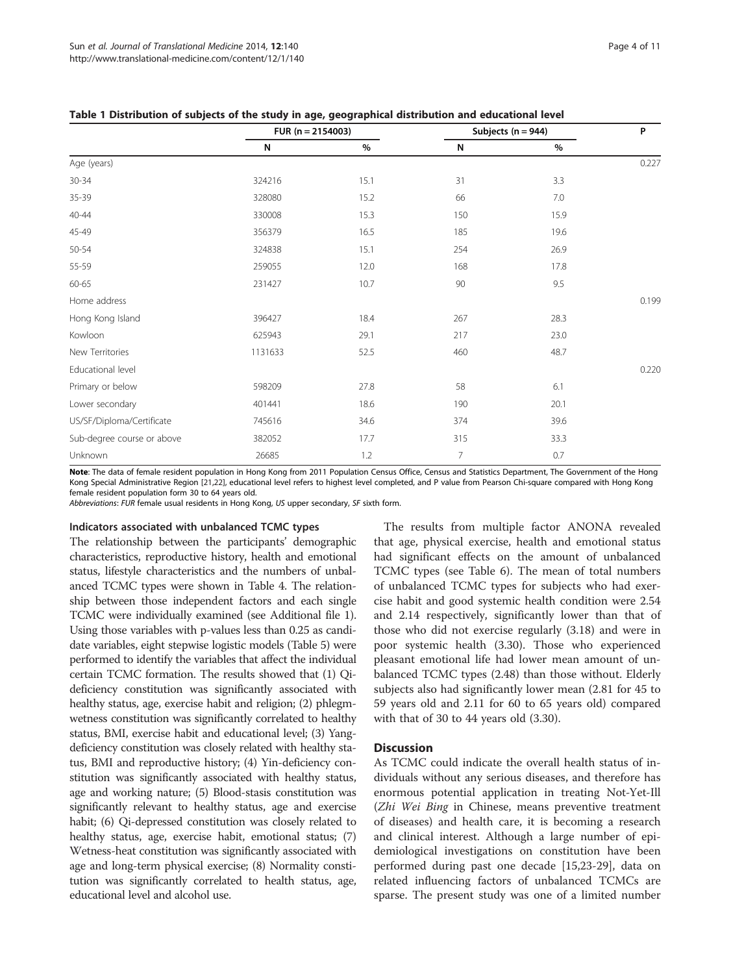|                            | FUR $(n = 2154003)$ |      | Subjects ( $n = 944$ ) |      | P     |
|----------------------------|---------------------|------|------------------------|------|-------|
|                            | N                   | %    | N                      | %    |       |
| Age (years)                |                     |      |                        |      | 0.227 |
| 30-34                      | 324216              | 15.1 | 31                     | 3.3  |       |
| 35-39                      | 328080              | 15.2 | 66                     | 7.0  |       |
| 40-44                      | 330008              | 15.3 | 150                    | 15.9 |       |
| 45-49                      | 356379              | 16.5 | 185                    | 19.6 |       |
| 50-54                      | 324838              | 15.1 | 254                    | 26.9 |       |
| 55-59                      | 259055              | 12.0 | 168                    | 17.8 |       |
| 60-65                      | 231427              | 10.7 | 90                     | 9.5  |       |
| Home address               |                     |      |                        |      | 0.199 |
| Hong Kong Island           | 396427              | 18.4 | 267                    | 28.3 |       |
| Kowloon                    | 625943              | 29.1 | 217                    | 23.0 |       |
| New Territories            | 1131633             | 52.5 | 460                    | 48.7 |       |
| Educational level          |                     |      |                        |      | 0.220 |
| Primary or below           | 598209              | 27.8 | 58                     | 6.1  |       |
| Lower secondary            | 401441              | 18.6 | 190                    | 20.1 |       |
| US/SF/Diploma/Certificate  | 745616              | 34.6 | 374                    | 39.6 |       |
| Sub-degree course or above | 382052              | 17.7 | 315                    | 33.3 |       |
| Unknown                    | 26685               | 1.2  | $\overline{7}$         | 0.7  |       |

<span id="page-3-0"></span>Table 1 Distribution of subjects of the study in age, geographical distribution and educational level

Note: The data of female resident population in Hong Kong from 2011 Population Census Office, Census and Statistics Department, The Government of the Hong Kong Special Administrative Region [[21,22\]](#page-10-0), educational level refers to highest level completed, and P value from Pearson Chi-square compared with Hong Kong female resident population form 30 to 64 years old.

Abbreviations: FUR female usual residents in Hong Kong, US upper secondary, SF sixth form.

#### Indicators associated with unbalanced TCMC types

The relationship between the participants' demographic characteristics, reproductive history, health and emotional status, lifestyle characteristics and the numbers of unbalanced TCMC types were shown in Table [4.](#page-5-0) The relationship between those independent factors and each single TCMC were individually examined (see Additional file [1](#page-9-0)). Using those variables with p-values less than 0.25 as candidate variables, eight stepwise logistic models (Table [5\)](#page-6-0) were performed to identify the variables that affect the individual certain TCMC formation. The results showed that (1) Qideficiency constitution was significantly associated with healthy status, age, exercise habit and religion; (2) phlegmwetness constitution was significantly correlated to healthy status, BMI, exercise habit and educational level; (3) Yangdeficiency constitution was closely related with healthy status, BMI and reproductive history; (4) Yin-deficiency constitution was significantly associated with healthy status, age and working nature; (5) Blood-stasis constitution was significantly relevant to healthy status, age and exercise habit; (6) Qi-depressed constitution was closely related to healthy status, age, exercise habit, emotional status; (7) Wetness-heat constitution was significantly associated with age and long-term physical exercise; (8) Normality constitution was significantly correlated to health status, age, educational level and alcohol use.

The results from multiple factor ANONA revealed that age, physical exercise, health and emotional status had significant effects on the amount of unbalanced TCMC types (see Table [6\)](#page-7-0). The mean of total numbers of unbalanced TCMC types for subjects who had exercise habit and good systemic health condition were 2.54 and 2.14 respectively, significantly lower than that of those who did not exercise regularly (3.18) and were in poor systemic health (3.30). Those who experienced pleasant emotional life had lower mean amount of unbalanced TCMC types (2.48) than those without. Elderly subjects also had significantly lower mean (2.81 for 45 to 59 years old and 2.11 for 60 to 65 years old) compared with that of 30 to 44 years old (3.30).

## **Discussion**

As TCMC could indicate the overall health status of individuals without any serious diseases, and therefore has enormous potential application in treating Not-Yet-Ill (Zhi Wei Bing in Chinese, means preventive treatment of diseases) and health care, it is becoming a research and clinical interest. Although a large number of epidemiological investigations on constitution have been performed during past one decade [[15,23-29](#page-10-0)], data on related influencing factors of unbalanced TCMCs are sparse. The present study was one of a limited number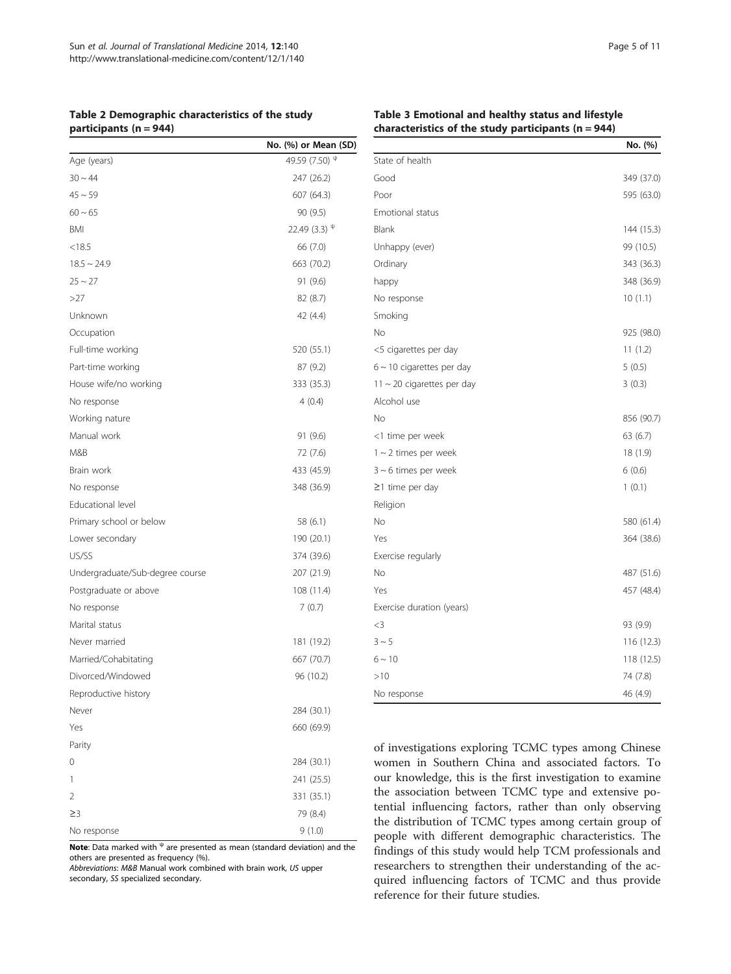<span id="page-4-0"></span>Table 2 Demographic characteristics of the study participants (n = 944)

|                                 | No. (%) or Mean (SD)   |
|---------------------------------|------------------------|
| Age (years)                     | 49.59 (7.50) $^{\psi}$ |
| $30 \sim 44$                    | 247 (26.2)             |
| $45 \sim 59$                    | 607 (64.3)             |
| $60 - 65$                       | 90 (9.5)               |
| <b>BMI</b>                      | 22.49 (3.3) $\rm{4}$   |
| < 18.5                          | 66 (7.0)               |
| $18.5 \sim 24.9$                | 663 (70.2)             |
| $25 \sim 27$                    | 91 (9.6)               |
| >27                             | 82 (8.7)               |
| Unknown                         | 42 (4.4)               |
| Occupation                      |                        |
| Full-time working               | 520 (55.1)             |
| Part-time working               | 87 (9.2)               |
| House wife/no working           | 333 (35.3)             |
| No response                     | 4(0.4)                 |
| Working nature                  |                        |
| Manual work                     | 91 (9.6)               |
| M&B                             | 72 (7.6)               |
| Brain work                      | 433 (45.9)             |
| No response                     | 348 (36.9)             |
| Educational level               |                        |
| Primary school or below         | 58 (6.1)               |
| Lower secondary                 | 190 (20.1)             |
| US/SS                           | 374 (39.6)             |
| Undergraduate/Sub-degree course | 207 (21.9)             |
| Postgraduate or above           | 108 (11.4)             |
| No response                     | 7(0.7)                 |
| Marital status                  |                        |
| Never married                   | 181 (19.2)             |
| Married/Cohabitating            | 667 (70.7)             |
| Divorced/Windowed               | 96 (10.2)              |
| Reproductive history            |                        |
| Never                           | 284 (30.1)             |
| Yes                             | 660 (69.9)             |
| Parity                          |                        |
| 0                               | 284 (30.1)             |
| 1                               | 241 (25.5)             |
| 2                               | 331 (35.1)             |
| ≥3                              | 79 (8.4)               |
| No response                     | 9(1.0)                 |

Note: Data marked with  $\Psi$  are presented as mean (standard deviation) and the others are presented as frequency (%).

Abbreviations: M&B Manual work combined with brain work, US upper secondary, SS specialized secondary.

| Table 3 Emotional and healthy status and lifestyle    |  |
|-------------------------------------------------------|--|
| characteristics of the study participants $(n = 944)$ |  |

|                                 | No. (%)    |
|---------------------------------|------------|
| State of health                 |            |
| Good                            | 349 (37.0) |
| Poor                            | 595 (63.0) |
| Emotional status                |            |
| Blank                           | 144 (15.3) |
| Unhappy (ever)                  | 99 (10.5)  |
| Ordinary                        | 343 (36.3) |
| happy                           | 348 (36.9) |
| No response                     | 10(1.1)    |
| Smoking                         |            |
| <b>No</b>                       | 925 (98.0) |
| <5 cigarettes per day           | 11(1.2)    |
| $6 \sim 10$ cigarettes per day  | 5(0.5)     |
| $11 \sim 20$ cigarettes per day | 3(0.3)     |
| Alcohol use                     |            |
| No                              | 856 (90.7) |
| <1 time per week                | 63 (6.7)   |
| $1 \sim 2$ times per week       | 18 (1.9)   |
| $3 \sim 6$ times per week       | 6(0.6)     |
| $\geq$ 1 time per day           | 1(0.1)     |
| Religion                        |            |
| No                              | 580 (61.4) |
| Yes                             | 364 (38.6) |
| Exercise regularly              |            |
| No                              | 487 (51.6) |
| Yes                             | 457 (48.4) |
| Exercise duration (years)       |            |
| $<$ 3                           | 93 (9.9)   |
| $3 \sim 5$                      | 116 (12.3) |
| $6 - 10$                        | 118 (12.5) |
| >10                             | 74 (7.8)   |
| No response                     | 46 (4.9)   |

of investigations exploring TCMC types among Chinese women in Southern China and associated factors. To our knowledge, this is the first investigation to examine the association between TCMC type and extensive potential influencing factors, rather than only observing the distribution of TCMC types among certain group of people with different demographic characteristics. The findings of this study would help TCM professionals and researchers to strengthen their understanding of the acquired influencing factors of TCMC and thus provide reference for their future studies.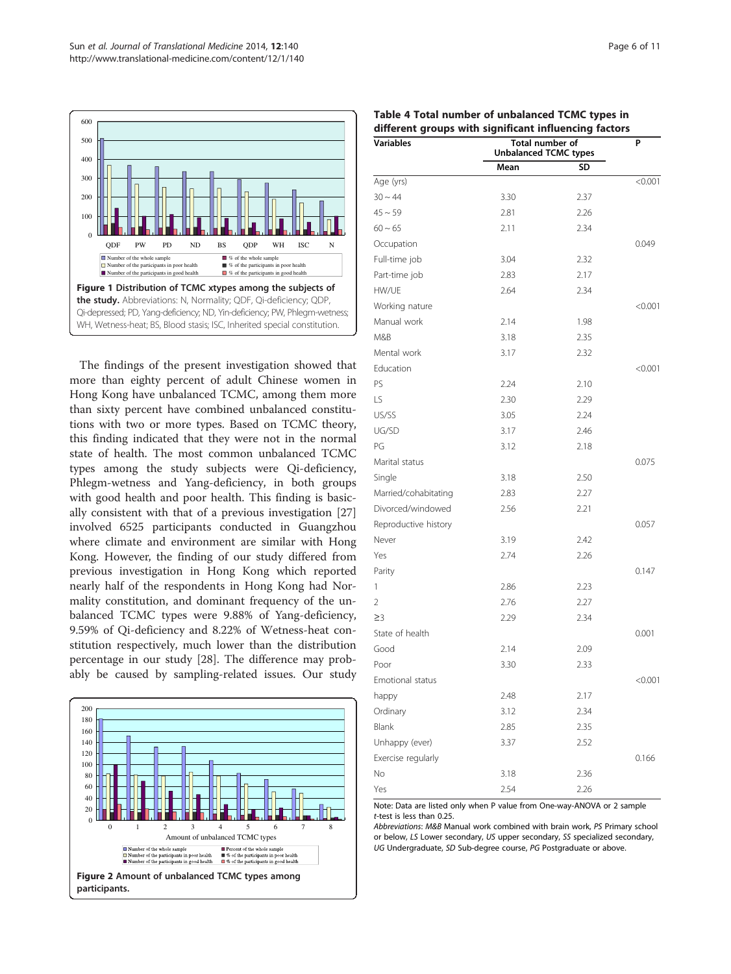<span id="page-5-0"></span>

The findings of the present investigation showed that more than eighty percent of adult Chinese women in Hong Kong have unbalanced TCMC, among them more than sixty percent have combined unbalanced constitutions with two or more types. Based on TCMC theory, this finding indicated that they were not in the normal state of health. The most common unbalanced TCMC types among the study subjects were Qi-deficiency, Phlegm-wetness and Yang-deficiency, in both groups with good health and poor health. This finding is basically consistent with that of a previous investigation [[27](#page-10-0)] involved 6525 participants conducted in Guangzhou where climate and environment are similar with Hong Kong. However, the finding of our study differed from previous investigation in Hong Kong which reported nearly half of the respondents in Hong Kong had Normality constitution, and dominant frequency of the unbalanced TCMC types were 9.88% of Yang-deficiency, 9.59% of Qi-deficiency and 8.22% of Wetness-heat constitution respectively, much lower than the distribution percentage in our study [[28\]](#page-10-0). The difference may probably be caused by sampling-related issues. Our study



| <b>Variables</b>     | Total number of<br><b>Unbalanced TCMC types</b> | P    |         |
|----------------------|-------------------------------------------------|------|---------|
|                      | Mean                                            | SD   |         |
| Age (yrs)            |                                                 |      | < 0.001 |
| $30 - 44$            | 3.30                                            | 2.37 |         |
| $45 \sim 59$         | 2.81                                            | 2.26 |         |
| $60 - 65$            | 2.11                                            | 2.34 |         |
| Occupation           |                                                 |      | 0.049   |
| Full-time job        | 3.04                                            | 2.32 |         |
| Part-time job        | 2.83                                            | 2.17 |         |
| HW/UE                | 2.64                                            | 2.34 |         |
| Working nature       |                                                 |      | < 0.001 |
| Manual work          | 2.14                                            | 1.98 |         |
| M&B                  | 3.18                                            | 2.35 |         |
| Mental work          | 3.17                                            | 2.32 |         |
| Education            |                                                 |      | < 0.001 |
| PS                   | 2.24                                            | 2.10 |         |
| LS                   | 2.30                                            | 2.29 |         |
| US/SS                | 3.05                                            | 2.24 |         |
| UG/SD                | 3.17                                            | 2.46 |         |
| PG                   | 3.12                                            | 2.18 |         |
| Marital status       |                                                 |      | 0.075   |
| Single               | 3.18                                            | 2.50 |         |
| Married/cohabitating | 2.83                                            | 2.27 |         |
| Divorced/windowed    | 2.56                                            | 2.21 |         |
| Reproductive history |                                                 |      | 0.057   |
| Never                | 3.19                                            | 2.42 |         |
| Yes                  | 2.74                                            | 2.26 |         |
| Parity               |                                                 |      | 0.147   |
| 1                    | 2.86                                            | 2.23 |         |
| $\overline{2}$       | 2.76                                            | 2.27 |         |
| $\geq$ 3             | 2.29                                            | 2.34 |         |
| State of health      |                                                 |      | 0.001   |
| Good                 | 2.14                                            | 2.09 |         |
| Poor                 | 3.30                                            | 2.33 |         |
| Emotional status     |                                                 |      | < 0.001 |
| happy                | 2.48                                            | 2.17 |         |
| Ordinary             | 3.12                                            | 2.34 |         |
| Blank                | 2.85                                            | 2.35 |         |
| Unhappy (ever)       | 3.37                                            | 2.52 |         |
| Exercise regularly   |                                                 |      | 0.166   |
| No                   | 3.18                                            | 2.36 |         |
| Yes                  | 2.54                                            | 2.26 |         |

Note: Data are listed only when P value from One-way-ANOVA or 2 sample t-test is less than 0.25.

Abbreviations: M&B Manual work combined with brain work, PS Primary school or below, LS Lower secondary, US upper secondary, SS specialized secondary, UG Undergraduate, SD Sub-degree course, PG Postgraduate or above.

Table 4 Total number of unbalanced TCMC types in different groups with significant influencing factors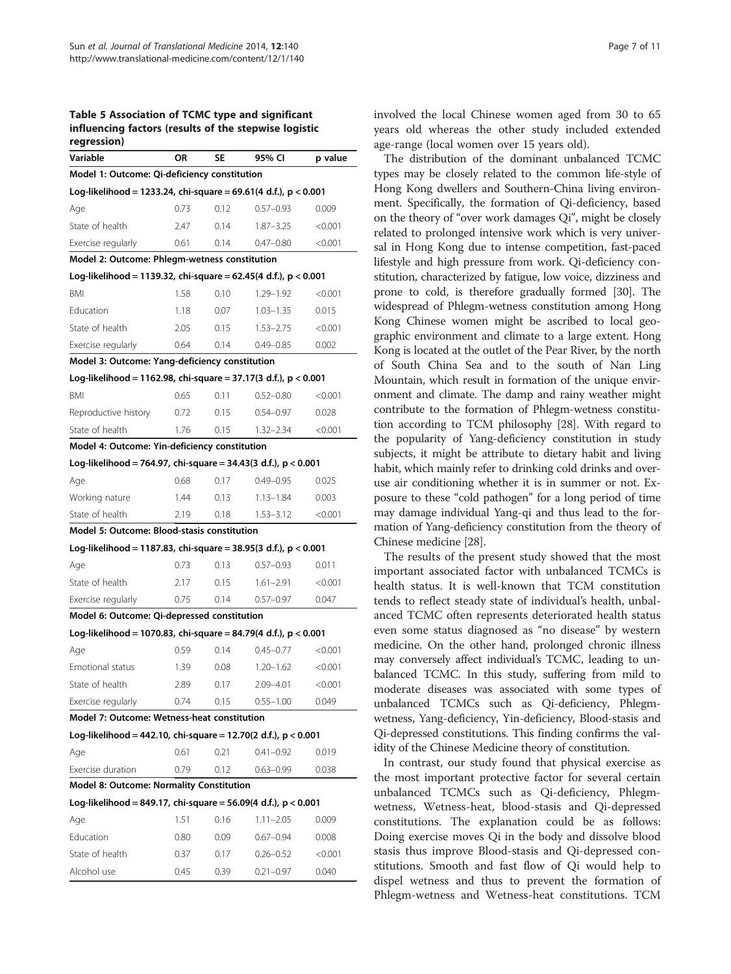<span id="page-6-0"></span>Table 5 Association of TCMC type and significant influencing factors (results of the stepwise logistic regression)

| Variable                                                          | ΟR   | <b>SE</b> | 95% CI        | p value |
|-------------------------------------------------------------------|------|-----------|---------------|---------|
| Model 1: Outcome: Qi-deficiency constitution                      |      |           |               |         |
| Log-likelihood = 1233.24, chi-square = 69.61(4 d.f.), $p < 0.001$ |      |           |               |         |
| Age                                                               | 0.73 | 0.12      | $0.57 - 0.93$ | 0.009   |
| State of health                                                   | 2.47 | 0.14      | $1.87 - 3.25$ | < 0.001 |
| Exercise regularly                                                | 0.61 | 0.14      | $0.47 - 0.80$ | < 0.001 |
| Model 2: Outcome: Phlegm-wetness constitution                     |      |           |               |         |
| Log-likelihood = 1139.32, chi-square = 62.45(4 d.f.), $p < 0.001$ |      |           |               |         |
| BMI                                                               | 1.58 | 0.10      | 1.29-1.92     | < 0.001 |
| <b>Education</b>                                                  | 1.18 | 0.07      | $1.03 - 1.35$ | 0.015   |
| State of health                                                   | 2.05 | 0.15      | $1.53 - 2.75$ | < 0.001 |
| Exercise regularly                                                | 0.64 | 0.14      | $0.49 - 0.85$ | 0.002   |
| Model 3: Outcome: Yang-deficiency constitution                    |      |           |               |         |
| Log-likelihood = 1162.98, chi-square = 37.17(3 d.f.), $p < 0.001$ |      |           |               |         |
| <b>BMI</b>                                                        | 0.65 | 0.11      | $0.52 - 0.80$ | < 0.001 |
| Reproductive history                                              | 0.72 | 0.15      | $0.54 - 0.97$ | 0.028   |
| State of health                                                   | 1.76 | 0.15      | $1.32 - 2.34$ | < 0.001 |
| Model 4: Outcome: Yin-deficiency constitution                     |      |           |               |         |
| Log-likelihood = 764.97, chi-square = 34.43(3 d.f.), $p < 0.001$  |      |           |               |         |
| Age                                                               | 0.68 | 0.17      | $0.49 - 0.95$ | 0.025   |
| Working nature                                                    | 1.44 | 0.13      | $1.13 - 1.84$ | 0.003   |
| State of health                                                   | 2.19 | 0.18      | $1.53 - 3.12$ | < 0.001 |
| Model 5: Outcome: Blood-stasis constitution                       |      |           |               |         |
| Log-likelihood = 1187.83, chi-square = 38.95(3 d.f.), $p < 0.001$ |      |           |               |         |
| Age                                                               | 0.73 | 0.13      | $0.57 - 0.93$ | 0.011   |
| State of health                                                   | 2.17 | 0.15      | $1.61 - 2.91$ | < 0.001 |
| Exercise regularly                                                | 0.75 | 0.14      | $0.57 - 0.97$ | 0.047   |
| Model 6: Outcome: Qi-depressed constitution                       |      |           |               |         |
| Log-likelihood = 1070.83, chi-square = 84.79(4 d.f.), $p < 0.001$ |      |           |               |         |
| Age                                                               | 0.59 | 0.14      | $0.45 - 0.77$ | < 0.001 |
| Emotional status                                                  | 1.39 | 0.08      | $1.20 - 1.62$ | < 0.001 |
| State of health                                                   | 2.89 | 0.17      | 2.09-4.01     | < 0.001 |
| Exercise regularly                                                | 0.74 | 0.15      | $0.55 - 1.00$ | 0.049   |
| Model 7: Outcome: Wetness-heat constitution                       |      |           |               |         |
| Log-likelihood = 442.10, chi-square = 12.70(2 d.f.), $p < 0.001$  |      |           |               |         |
| Age                                                               | 0.61 | 0.21      | $0.41 - 0.92$ | 0.019   |
| Exercise duration                                                 | 0.79 | 0.12      | $0.63 - 0.99$ | 0.038   |
| Model 8: Outcome: Normality Constitution                          |      |           |               |         |
| Log-likelihood = 849.17, chi-square = 56.09(4 d.f.), $p < 0.001$  |      |           |               |         |
| Age                                                               | 1.51 | 0.16      | $1.11 - 2.05$ | 0.009   |
| Education                                                         | 0.80 | 0.09      | $0.67 - 0.94$ | 0.008   |
| State of health                                                   | 0.37 | 0.17      | $0.26 - 0.52$ | < 0.001 |
| Alcohol use                                                       | 0.45 | 0.39      | $0.21 - 0.97$ | 0.040   |

involved the local Chinese women aged from 30 to 65 years old whereas the other study included extended age-range (local women over 15 years old).

The distribution of the dominant unbalanced TCMC types may be closely related to the common life-style of Hong Kong dwellers and Southern-China living environment. Specifically, the formation of Qi-deficiency, based on the theory of "over work damages Qi", might be closely related to prolonged intensive work which is very universal in Hong Kong due to intense competition, fast-paced lifestyle and high pressure from work. Qi-deficiency constitution, characterized by fatigue, low voice, dizziness and prone to cold, is therefore gradually formed [[30](#page-10-0)]. The widespread of Phlegm-wetness constitution among Hong Kong Chinese women might be ascribed to local geographic environment and climate to a large extent. Hong Kong is located at the outlet of the Pear River, by the north of South China Sea and to the south of Nan Ling Mountain, which result in formation of the unique environment and climate. The damp and rainy weather might contribute to the formation of Phlegm-wetness constitution according to TCM philosophy [\[28\]](#page-10-0). With regard to the popularity of Yang-deficiency constitution in study subjects, it might be attribute to dietary habit and living habit, which mainly refer to drinking cold drinks and overuse air conditioning whether it is in summer or not. Exposure to these "cold pathogen" for a long period of time may damage individual Yang-qi and thus lead to the formation of Yang-deficiency constitution from the theory of Chinese medicine [\[28\]](#page-10-0).

The results of the present study showed that the most important associated factor with unbalanced TCMCs is health status. It is well-known that TCM constitution tends to reflect steady state of individual's health, unbalanced TCMC often represents deteriorated health status even some status diagnosed as "no disease" by western medicine. On the other hand, prolonged chronic illness may conversely affect individual's TCMC, leading to unbalanced TCMC. In this study, suffering from mild to moderate diseases was associated with some types of unbalanced TCMCs such as Qi-deficiency, Phlegmwetness, Yang-deficiency, Yin-deficiency, Blood-stasis and Qi-depressed constitutions. This finding confirms the validity of the Chinese Medicine theory of constitution.

In contrast, our study found that physical exercise as the most important protective factor for several certain unbalanced TCMCs such as Qi-deficiency, Phlegmwetness, Wetness-heat, blood-stasis and Qi-depressed constitutions. The explanation could be as follows: Doing exercise moves Qi in the body and dissolve blood stasis thus improve Blood-stasis and Qi-depressed constitutions. Smooth and fast flow of Qi would help to dispel wetness and thus to prevent the formation of Phlegm-wetness and Wetness-heat constitutions. TCM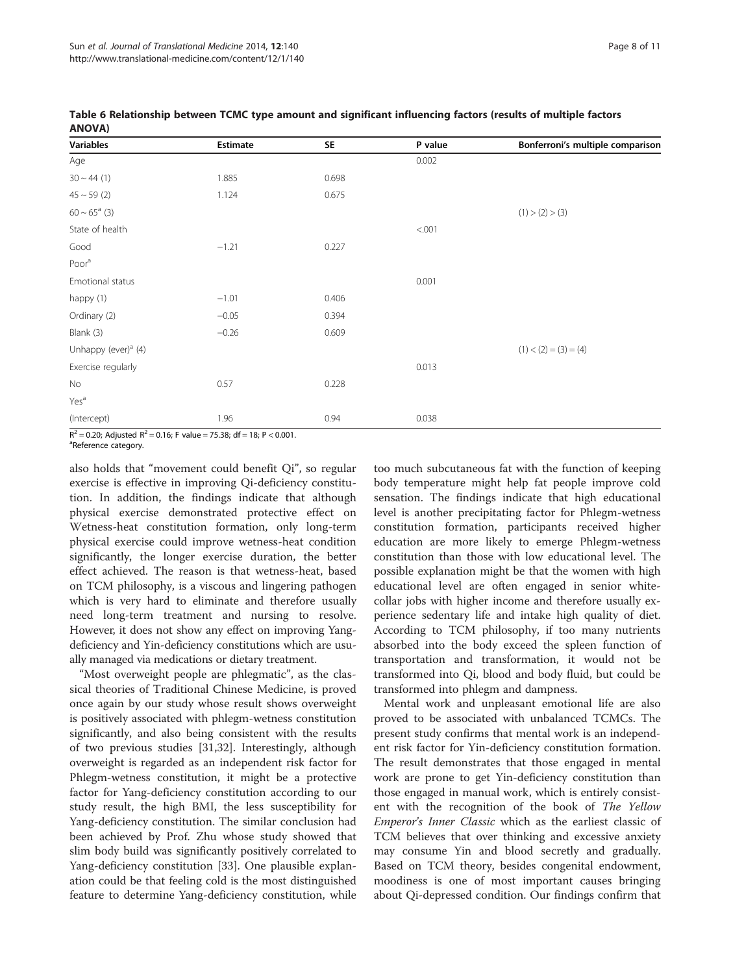| <b>Variables</b>                | <b>Estimate</b> | <b>SE</b> | P value | Bonferroni's multiple comparison |
|---------------------------------|-----------------|-----------|---------|----------------------------------|
| Age                             |                 |           | 0.002   |                                  |
| $30 \sim 44$ (1)                | 1.885           | 0.698     |         |                                  |
| $45 \sim 59(2)$                 | 1.124           | 0.675     |         |                                  |
| $60 \sim 65^{\circ}$ (3)        |                 |           |         | (1) > (2) > (3)                  |
| State of health                 |                 |           | < .001  |                                  |
| Good                            | $-1.21$         | 0.227     |         |                                  |
| Poor <sup>a</sup>               |                 |           |         |                                  |
| Emotional status                |                 |           | 0.001   |                                  |
| happy (1)                       | $-1.01$         | 0.406     |         |                                  |
| Ordinary (2)                    | $-0.05$         | 0.394     |         |                                  |
| Blank (3)                       | $-0.26$         | 0.609     |         |                                  |
| Unhappy (ever) <sup>a</sup> (4) |                 |           |         | $(1) < (2) = (3) = (4)$          |
| Exercise regularly              |                 |           | 0.013   |                                  |
| No                              | 0.57            | 0.228     |         |                                  |
| Yes <sup>a</sup>                |                 |           |         |                                  |
| (Intercept)                     | 1.96            | 0.94      | 0.038   |                                  |

<span id="page-7-0"></span>Table 6 Relationship between TCMC type amount and significant influencing factors (results of multiple factors ANOVA)

 $R^2$  = 0.20; Adjusted  $R^2$  = 0.16; F value = 75.38; df = 18; P < 0.001.

<sup>a</sup>Reference category.

also holds that "movement could benefit Qi", so regular exercise is effective in improving Qi-deficiency constitution. In addition, the findings indicate that although physical exercise demonstrated protective effect on Wetness-heat constitution formation, only long-term physical exercise could improve wetness-heat condition significantly, the longer exercise duration, the better effect achieved. The reason is that wetness-heat, based on TCM philosophy, is a viscous and lingering pathogen which is very hard to eliminate and therefore usually need long-term treatment and nursing to resolve. However, it does not show any effect on improving Yangdeficiency and Yin-deficiency constitutions which are usually managed via medications or dietary treatment.

"Most overweight people are phlegmatic", as the classical theories of Traditional Chinese Medicine, is proved once again by our study whose result shows overweight is positively associated with phlegm-wetness constitution significantly, and also being consistent with the results of two previous studies [[31,32\]](#page-10-0). Interestingly, although overweight is regarded as an independent risk factor for Phlegm-wetness constitution, it might be a protective factor for Yang-deficiency constitution according to our study result, the high BMI, the less susceptibility for Yang-deficiency constitution. The similar conclusion had been achieved by Prof. Zhu whose study showed that slim body build was significantly positively correlated to Yang-deficiency constitution [[33](#page-10-0)]. One plausible explanation could be that feeling cold is the most distinguished feature to determine Yang-deficiency constitution, while too much subcutaneous fat with the function of keeping body temperature might help fat people improve cold sensation. The findings indicate that high educational level is another precipitating factor for Phlegm-wetness constitution formation, participants received higher education are more likely to emerge Phlegm-wetness constitution than those with low educational level. The possible explanation might be that the women with high educational level are often engaged in senior whitecollar jobs with higher income and therefore usually experience sedentary life and intake high quality of diet. According to TCM philosophy, if too many nutrients absorbed into the body exceed the spleen function of transportation and transformation, it would not be transformed into Qi, blood and body fluid, but could be transformed into phlegm and dampness.

Mental work and unpleasant emotional life are also proved to be associated with unbalanced TCMCs. The present study confirms that mental work is an independent risk factor for Yin-deficiency constitution formation. The result demonstrates that those engaged in mental work are prone to get Yin-deficiency constitution than those engaged in manual work, which is entirely consistent with the recognition of the book of The Yellow Emperor's Inner Classic which as the earliest classic of TCM believes that over thinking and excessive anxiety may consume Yin and blood secretly and gradually. Based on TCM theory, besides congenital endowment, moodiness is one of most important causes bringing about Qi-depressed condition. Our findings confirm that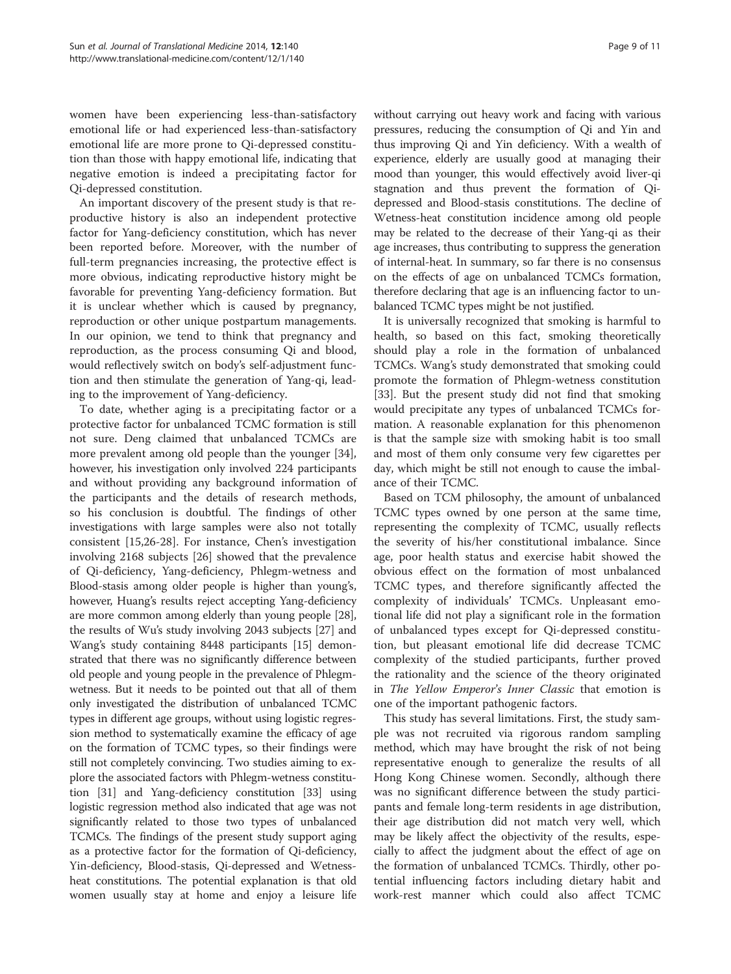women have been experiencing less-than-satisfactory emotional life or had experienced less-than-satisfactory emotional life are more prone to Qi-depressed constitution than those with happy emotional life, indicating that negative emotion is indeed a precipitating factor for Qi-depressed constitution.

An important discovery of the present study is that reproductive history is also an independent protective factor for Yang-deficiency constitution, which has never been reported before. Moreover, with the number of full-term pregnancies increasing, the protective effect is more obvious, indicating reproductive history might be favorable for preventing Yang-deficiency formation. But it is unclear whether which is caused by pregnancy, reproduction or other unique postpartum managements. In our opinion, we tend to think that pregnancy and reproduction, as the process consuming Qi and blood, would reflectively switch on body's self-adjustment function and then stimulate the generation of Yang-qi, leading to the improvement of Yang-deficiency.

To date, whether aging is a precipitating factor or a protective factor for unbalanced TCMC formation is still not sure. Deng claimed that unbalanced TCMCs are more prevalent among old people than the younger [\[34](#page-10-0)], however, his investigation only involved 224 participants and without providing any background information of the participants and the details of research methods, so his conclusion is doubtful. The findings of other investigations with large samples were also not totally consistent [\[15,26-28](#page-10-0)]. For instance, Chen's investigation involving 2168 subjects [\[26\]](#page-10-0) showed that the prevalence of Qi-deficiency, Yang-deficiency, Phlegm-wetness and Blood-stasis among older people is higher than young's, however, Huang's results reject accepting Yang-deficiency are more common among elderly than young people [[28](#page-10-0)], the results of Wu's study involving 2043 subjects [[27\]](#page-10-0) and Wang's study containing 8448 participants [[15](#page-10-0)] demonstrated that there was no significantly difference between old people and young people in the prevalence of Phlegmwetness. But it needs to be pointed out that all of them only investigated the distribution of unbalanced TCMC types in different age groups, without using logistic regression method to systematically examine the efficacy of age on the formation of TCMC types, so their findings were still not completely convincing. Two studies aiming to explore the associated factors with Phlegm-wetness constitution [\[31\]](#page-10-0) and Yang-deficiency constitution [[33](#page-10-0)] using logistic regression method also indicated that age was not significantly related to those two types of unbalanced TCMCs. The findings of the present study support aging as a protective factor for the formation of Qi-deficiency, Yin-deficiency, Blood-stasis, Qi-depressed and Wetnessheat constitutions. The potential explanation is that old women usually stay at home and enjoy a leisure life without carrying out heavy work and facing with various pressures, reducing the consumption of Qi and Yin and thus improving Qi and Yin deficiency. With a wealth of experience, elderly are usually good at managing their mood than younger, this would effectively avoid liver-qi stagnation and thus prevent the formation of Qidepressed and Blood-stasis constitutions. The decline of Wetness-heat constitution incidence among old people may be related to the decrease of their Yang-qi as their age increases, thus contributing to suppress the generation of internal-heat. In summary, so far there is no consensus on the effects of age on unbalanced TCMCs formation, therefore declaring that age is an influencing factor to unbalanced TCMC types might be not justified.

It is universally recognized that smoking is harmful to health, so based on this fact, smoking theoretically should play a role in the formation of unbalanced TCMCs. Wang's study demonstrated that smoking could promote the formation of Phlegm-wetness constitution [[33\]](#page-10-0). But the present study did not find that smoking would precipitate any types of unbalanced TCMCs formation. A reasonable explanation for this phenomenon is that the sample size with smoking habit is too small and most of them only consume very few cigarettes per day, which might be still not enough to cause the imbalance of their TCMC.

Based on TCM philosophy, the amount of unbalanced TCMC types owned by one person at the same time, representing the complexity of TCMC, usually reflects the severity of his/her constitutional imbalance. Since age, poor health status and exercise habit showed the obvious effect on the formation of most unbalanced TCMC types, and therefore significantly affected the complexity of individuals' TCMCs. Unpleasant emotional life did not play a significant role in the formation of unbalanced types except for Qi-depressed constitution, but pleasant emotional life did decrease TCMC complexity of the studied participants, further proved the rationality and the science of the theory originated in The Yellow Emperor's Inner Classic that emotion is one of the important pathogenic factors.

This study has several limitations. First, the study sample was not recruited via rigorous random sampling method, which may have brought the risk of not being representative enough to generalize the results of all Hong Kong Chinese women. Secondly, although there was no significant difference between the study participants and female long-term residents in age distribution, their age distribution did not match very well, which may be likely affect the objectivity of the results, especially to affect the judgment about the effect of age on the formation of unbalanced TCMCs. Thirdly, other potential influencing factors including dietary habit and work-rest manner which could also affect TCMC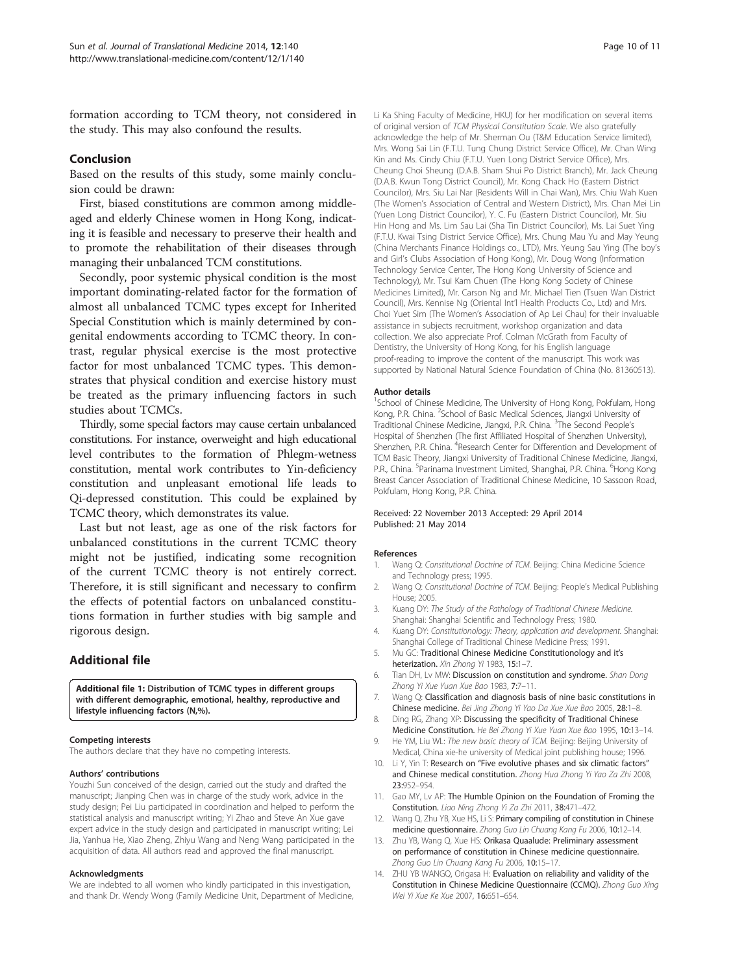<span id="page-9-0"></span>formation according to TCM theory, not considered in the study. This may also confound the results.

# Conclusion

Based on the results of this study, some mainly conclusion could be drawn:

First, biased constitutions are common among middleaged and elderly Chinese women in Hong Kong, indicating it is feasible and necessary to preserve their health and to promote the rehabilitation of their diseases through managing their unbalanced TCM constitutions.

Secondly, poor systemic physical condition is the most important dominating-related factor for the formation of almost all unbalanced TCMC types except for Inherited Special Constitution which is mainly determined by congenital endowments according to TCMC theory. In contrast, regular physical exercise is the most protective factor for most unbalanced TCMC types. This demonstrates that physical condition and exercise history must be treated as the primary influencing factors in such studies about TCMCs.

Thirdly, some special factors may cause certain unbalanced constitutions. For instance, overweight and high educational level contributes to the formation of Phlegm-wetness constitution, mental work contributes to Yin-deficiency constitution and unpleasant emotional life leads to Qi-depressed constitution. This could be explained by TCMC theory, which demonstrates its value.

Last but not least, age as one of the risk factors for unbalanced constitutions in the current TCMC theory might not be justified, indicating some recognition of the current TCMC theory is not entirely correct. Therefore, it is still significant and necessary to confirm the effects of potential factors on unbalanced constitutions formation in further studies with big sample and rigorous design.

# Additional file

[Additional file 1:](http://www.biomedcentral.com/content/supplementary/1479-5876-12-140-S1.doc) Distribution of TCMC types in different groups with different demographic, emotional, healthy, reproductive and lifestyle influencing factors (N,%).

#### Competing interests

The authors declare that they have no competing interests.

#### Authors' contributions

Youzhi Sun conceived of the design, carried out the study and drafted the manuscript; Jianping Chen was in charge of the study work, advice in the study design; Pei Liu participated in coordination and helped to perform the statistical analysis and manuscript writing; Yi Zhao and Steve An Xue gave expert advice in the study design and participated in manuscript writing; Lei Jia, Yanhua He, Xiao Zheng, Zhiyu Wang and Neng Wang participated in the acquisition of data. All authors read and approved the final manuscript.

#### Acknowledgments

We are indebted to all women who kindly participated in this investigation, and thank Dr. Wendy Wong (Family Medicine Unit, Department of Medicine, Li Ka Shing Faculty of Medicine, HKU) for her modification on several items of original version of TCM Physical Constitution Scale. We also gratefully acknowledge the help of Mr. Sherman Ou (T&M Education Service limited), Mrs. Wong Sai Lin (F.T.U. Tung Chung District Service Office), Mr. Chan Wing Kin and Ms. Cindy Chiu (F.T.U. Yuen Long District Service Office), Mrs. Cheung Choi Sheung (D.A.B. Sham Shui Po District Branch), Mr. Jack Cheung (D.A.B. Kwun Tong District Council), Mr. Kong Chack Ho (Eastern District Councilor), Mrs. Siu Lai Nar (Residents Will in Chai Wan), Mrs. Chiu Wah Kuen (The Women's Association of Central and Western District), Mrs. Chan Mei Lin (Yuen Long District Councilor), Y. C. Fu (Eastern District Councilor), Mr. Siu Hin Hong and Ms. Lim Sau Lai (Sha Tin District Councilor), Ms. Lai Suet Ying (F.T.U. Kwai Tsing District Service Office), Mrs. Chung Mau Yu and May Yeung (China Merchants Finance Holdings co., LTD), Mrs. Yeung Sau Ying (The boy's and Girl's Clubs Association of Hong Kong), Mr. Doug Wong (Information Technology Service Center, The Hong Kong University of Science and Technology), Mr. Tsui Kam Chuen (The Hong Kong Society of Chinese Medicines Limited), Mr. Carson Ng and Mr. Michael Tien (Tsuen Wan District Council), Mrs. Kennise Ng (Oriental Int'l Health Products Co., Ltd) and Mrs. Choi Yuet Sim (The Women's Association of Ap Lei Chau) for their invaluable assistance in subjects recruitment, workshop organization and data collection. We also appreciate Prof. Colman McGrath from Faculty of Dentistry, the University of Hong Kong, for his English language proof-reading to improve the content of the manuscript. This work was supported by National Natural Science Foundation of China (No. 81360513).

#### Author details

<sup>1</sup>School of Chinese Medicine, The University of Hong Kong, Pokfulam, Hong Kong, P.R. China. <sup>2</sup>School of Basic Medical Sciences, Jiangxi University of Traditional Chinese Medicine, Jiangxi, P.R. China. <sup>3</sup>The Second People's Hospital of Shenzhen (The first Affiliated Hospital of Shenzhen University), Shenzhen, P.R. China. <sup>4</sup>Research Center for Differention and Development of TCM Basic Theory, Jiangxi University of Traditional Chinese Medicine, Jiangxi, P.R., China. <sup>5</sup>Parinama Investment Limited, Shanghai, P.R. China. <sup>6</sup>Hong Kong Breast Cancer Association of Traditional Chinese Medicine, 10 Sassoon Road, Pokfulam, Hong Kong, P.R. China.

#### Received: 22 November 2013 Accepted: 29 April 2014 Published: 21 May 2014

#### References

- 1. Wang Q: Constitutional Doctrine of TCM. Beijing: China Medicine Science and Technology press; 1995.
- 2. Wang Q: Constitutional Doctrine of TCM. Beijing: People's Medical Publishing House; 2005.
- 3. Kuang DY: The Study of the Pathology of Traditional Chinese Medicine. Shanghai: Shanghai Scientific and Technology Press; 1980.
- 4. Kuang DY: Constitutionology: Theory, application and development. Shanghai: Shanghai College of Traditional Chinese Medicine Press; 1991.
- 5. Mu GC: Traditional Chinese Medicine Constitutionology and it's heterization. Xin Zhong Yi 1983, 15:1-7.
- 6. Tian DH, Lv MW: Discussion on constitution and syndrome. Shan Dong Zhong Yi Xue Yuan Xue Bao 1983, 7:7–11.
- 7. Wang Q: Classification and diagnosis basis of nine basic constitutions in Chinese medicine. Bei Jing Zhong Yi Yao Da Xue Xue Bao 2005, 28:1–8.
- 8. Ding RG, Zhang XP: Discussing the specificity of Traditional Chinese Medicine Constitution. He Bei Zhong Yi Xue Yuan Xue Bao 1995, 10:13–14.
- 9. He YM, Liu WL: The new basic theory of TCM. Beijing: Beijing University of Medical, China xie-he university of Medical joint publishing house; 1996.
- 10. Li Y, Yin T: Research on "Five evolutive phases and six climatic factors" and Chinese medical constitution. Zhong Hua Zhong Yi Yao Za Zhi 2008, 23:952–954.
- 11. Gao MY, Lv AP: The Humble Opinion on the Foundation of Froming the Constitution. Liao Ning Zhong Yi Za Zhi 2011, 38:471–472.
- 12. Wang Q, Zhu YB, Xue HS, Li S: Primary compiling of constitution in Chinese medicine questionnaire. Zhong Guo Lin Chuang Kang Fu 2006, 10:12–14.
- 13. Zhu YB, Wang Q, Xue HS: Orikasa Quaalude: Preliminary assessment on performance of constitution in Chinese medicine questionnaire. Zhong Guo Lin Chuang Kang Fu 2006, 10:15-17.
- 14. ZHU YB WANGQ, Origasa H: Evaluation on reliability and validity of the Constitution in Chinese Medicine Questionnaire (CCMQ). Zhong Guo Xing Wei Yi Xue Ke Xue 2007, 16:651–654.